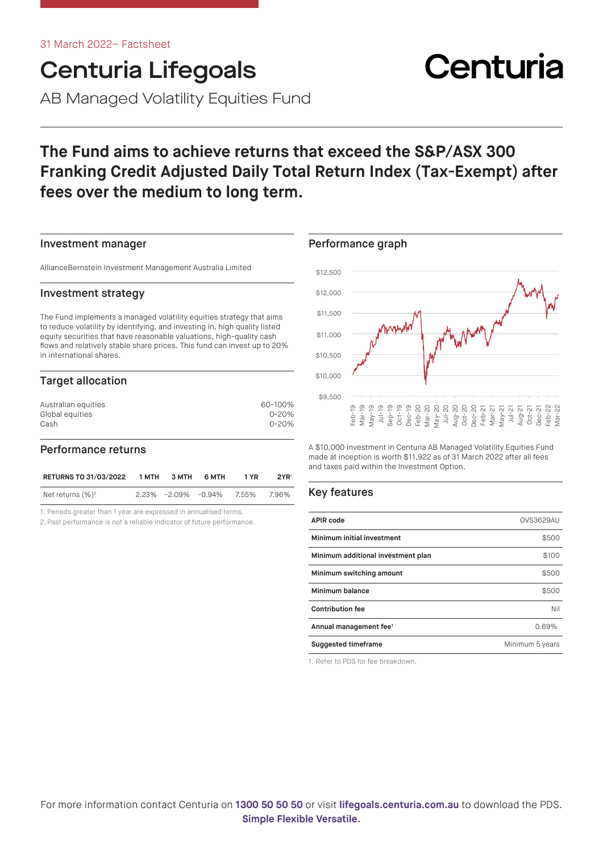# Centuria Lifegoals

AB Managed Volatility Equities Fund

# **The Fund aims to achieve returns that exceed the S&P/ASX 300 Franking Credit Adjusted Daily Total Return Index (Tax-Exempt) after fees over the medium to long term.**

### Investment manager

AllianceBernstein Investment Management Australia Limited

#### Investment strategy

The Fund implements a managed volatility equities strategy that aims to reduce volatility by identifying, and investing in, high quality listed equity securities that have reasonable valuations, high-quality cash flows and relatively stable share prices. This fund can invest up to 20% in international shares.

# Target allocation

| Australian equities | 60-100%   |
|---------------------|-----------|
| Global equities     | $0 - 20%$ |
| Cash                | $0 - 20%$ |
|                     |           |

# Performance returns

| <b>RETURNS TO 31/03/2022</b> | 1 MTH | З МТН | 6 MTH                              | 1 YR | 2YR <sup>1</sup> |
|------------------------------|-------|-------|------------------------------------|------|------------------|
| Net returns $(\%)^2$         |       |       | $2.23\%$ $-2.09\%$ $-0.94\%$ 7.55% |      | 7.96%            |

1. Periods greater than 1 year are expressed in annualised terms.

2. Past performance is not a reliable indicator of future performance.

# Performance graph  $$9,500$ \$10,000 \$10,500 \$11,000 \$11,500 \$12,000 \$12,500

A \$10,000 investment in Centuria AB Managed Volatility Equities Fund made at inception is worth \$11,922 as of 31 March 2022 after all fees and taxes paid within the Investment Option.

Peppeppeppeppeppen<br>Dec-2020<br>Dec-2020 Dec-2020<br>Dec-2020 Dec-21<br>Dec-2020 Dec-21<br>Dec-21<br>Dec-21<br>Dec-21<br>Dec-21<br>Dec-21<br>Dec-21<br>Dec-21<br>Dec-21<br>Dec-21<br>Dec-21<br>Dec-21<br>Dec-21<br>Dec-21

# Key features

| <b>APIR code</b>                   | <b>OVS3629AU</b> |
|------------------------------------|------------------|
| Minimum initial investment         | \$500            |
| Minimum additional investment plan | \$100            |
| Minimum switching amount           | \$500            |
| Minimum balance                    | \$500            |
| <b>Contribution fee</b>            | Nil              |
| Annual management fee <sup>1</sup> | 0.69%            |
| <b>Suggested timeframe</b>         | Minimum 5 years  |

1. Refer to PDS for fee breakdown.

# Centuria